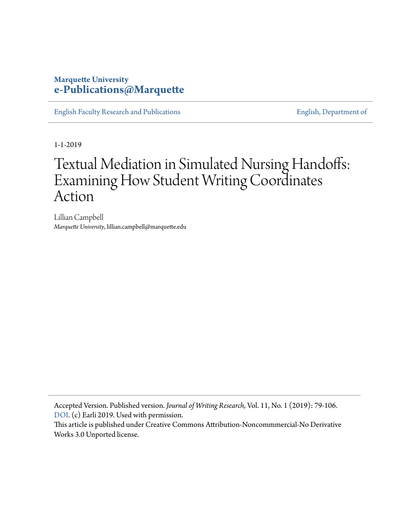#### **Marquette University [e-Publications@Marquette](https://epublications.marquette.edu)**

[English Faculty Research and Publications](https://epublications.marquette.edu/english_fac) **[English, Department of](https://epublications.marquette.edu/english)** English, Department of

1-1-2019

# Textual Mediation in Simulated Nursing Handoffs: Examining How Student Writing Coordinates Action

Lillian Campbell *Marquette University*, lillian.campbell@marquette.edu

Accepted Version. Published version. *Journal of Writing Research,* Vol. 11, No. 1 (2019): 79-106. [DOI](http://www.jowr.org/Ccount/click.php?id=166). (c) Earli 2019. Used with permission.

This article is published under Creative Commons Attribution-Noncommmercial-No Derivative Works 3.0 Unported license.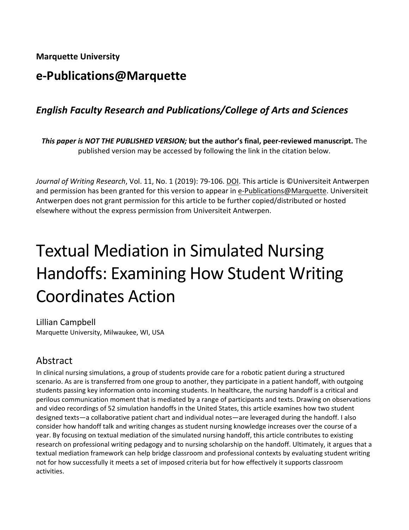**Marquette University**

# **e-Publications@Marquette**

# *English Faculty Research and Publications/College of Arts and Sciences*

*This paper is NOT THE PUBLISHED VERSION;* **but the author's final, peer-reviewed manuscript.** The published version may be accessed by following the link in the citation below.

*Journal of Writing Research*, Vol. 11, No. 1 (2019): 79-106. [DOI.](http://www.jowr.org/abstracts/vol11_1/Campbell_2019_11_1_abstract.html) This article is ©Universiteit Antwerpen and permission has been granted for this version to appear in [e-Publications@Marquette.](http://epublications.marquette.edu/) Universiteit Antwerpen does not grant permission for this article to be further copied/distributed or hosted elsewhere without the express permission from Universiteit Antwerpen.

# Textual Mediation in Simulated Nursing Handoffs: Examining How Student Writing Coordinates Action

Lillian Campbell Marquette University, Milwaukee, WI, USA

# Abstract

In clinical nursing simulations, a group of students provide care for a robotic patient during a structured scenario. As are is transferred from one group to another, they participate in a patient handoff, with outgoing students passing key information onto incoming students. In healthcare, the nursing handoff is a critical and perilous communication moment that is mediated by a range of participants and texts. Drawing on observations and video recordings of 52 simulation handoffs in the United States, this article examines how two student designed texts—a collaborative patient chart and individual notes—are leveraged during the handoff. I also consider how handoff talk and writing changes as student nursing knowledge increases over the course of a year. By focusing on textual mediation of the simulated nursing handoff, this article contributes to existing research on professional writing pedagogy and to nursing scholarship on the handoff. Ultimately, it argues that a textual mediation framework can help bridge classroom and professional contexts by evaluating student writing not for how successfully it meets a set of imposed criteria but for how effectively it supports classroom activities.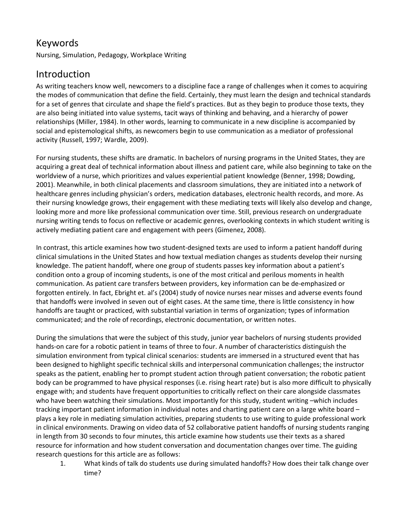# Keywords

Nursing, Simulation, Pedagogy, Workplace Writing

# Introduction

As writing teachers know well, newcomers to a discipline face a range of challenges when it comes to acquiring the modes of communication that define the field. Certainly, they must learn the design and technical standards for a set of genres that circulate and shape the field's practices. But as they begin to produce those texts, they are also being initiated into value systems, tacit ways of thinking and behaving, and a hierarchy of power relationships (Miller, 1984). In other words, learning to communicate in a new discipline is accompanied by social and epistemological shifts, as newcomers begin to use communication as a mediator of professional activity (Russell, 1997; Wardle, 2009).

For nursing students, these shifts are dramatic. In bachelors of nursing programs in the United States, they are acquiring a great deal of technical information about illness and patient care, while also beginning to take on the worldview of a nurse, which prioritizes and values experiential patient knowledge (Benner, 1998; Dowding, 2001). Meanwhile, in both clinical placements and classroom simulations, they are initiated into a network of healthcare genres including physician's orders, medication databases, electronic health records, and more. As their nursing knowledge grows, their engagement with these mediating texts will likely also develop and change, looking more and more like professional communication over time. Still, previous research on undergraduate nursing writing tends to focus on reflective or academic genres, overlooking contexts in which student writing is actively mediating patient care and engagement with peers (Gimenez, 2008).

In contrast, this article examines how two student-designed texts are used to inform a patient handoff during clinical simulations in the United States and how textual mediation changes as students develop their nursing knowledge. The patient handoff, where one group of students passes key information about a patient's condition onto a group of incoming students, is one of the most critical and perilous moments in health communication. As patient care transfers between providers, key information can be de-emphasized or forgotten entirely. In fact, Ebright et. al's (2004) study of novice nurses near misses and adverse events found that handoffs were involved in seven out of eight cases. At the same time, there is little consistency in how handoffs are taught or practiced, with substantial variation in terms of organization; types of information communicated; and the role of recordings, electronic documentation, or written notes.

During the simulations that were the subject of this study, junior year bachelors of nursing students provided hands-on care for a robotic patient in teams of three to four. A number of characteristics distinguish the simulation environment from typical clinical scenarios: students are immersed in a structured event that has been designed to highlight specific technical skills and interpersonal communication challenges; the instructor speaks as the patient, enabling her to prompt student action through patient conversation; the robotic patient body can be programmed to have physical responses (i.e. rising heart rate) but is also more difficult to physically engage with; and students have frequent opportunities to critically reflect on their care alongside classmates who have been watching their simulations. Most importantly for this study, student writing -which includes tracking important patient information in individual notes and charting patient care on a large white board – plays a key role in mediating simulation activities, preparing students to use writing to guide professional work in clinical environments. Drawing on video data of 52 collaborative patient handoffs of nursing students ranging in length from 30 seconds to four minutes, this article examine how students use their texts as a shared resource for information and how student conversation and documentation changes over time. The guiding research questions for this article are as follows:

1. What kinds of talk do students use during simulated handoffs? How does their talk change over time?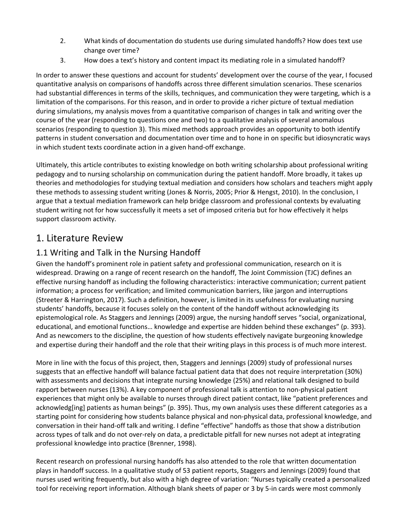- 2. What kinds of documentation do students use during simulated handoffs? How does text use change over time?
- 3. How does a text's history and content impact its mediating role in a simulated handoff?

In order to answer these questions and account for students' development over the course of the year, I focused quantitative analysis on comparisons of handoffs across three different simulation scenarios. These scenarios had substantial differences in terms of the skills, techniques, and communication they were targeting, which is a limitation of the comparisons. For this reason, and in order to provide a richer picture of textual mediation during simulations, my analysis moves from a quantitative comparison of changes in talk and writing over the course of the year (responding to questions one and two) to a qualitative analysis of several anomalous scenarios (responding to question 3). This mixed methods approach provides an opportunity to both identify patterns in student conversation and documentation over time and to hone in on specific but idiosyncratic ways in which student texts coordinate action in a given hand-off exchange.

Ultimately, this article contributes to existing knowledge on both writing scholarship about professional writing pedagogy and to nursing scholarship on communication during the patient handoff. More broadly, it takes up theories and methodologies for studying textual mediation and considers how scholars and teachers might apply these methods to assessing student writing (Jones & Norris, 2005; Prior & Hengst, 2010). In the conclusion, I argue that a textual mediation framework can help bridge classroom and professional contexts by evaluating student writing not for how successfully it meets a set of imposed criteria but for how effectively it helps support classroom activity.

# 1. Literature Review

#### 1.1 Writing and Talk in the Nursing Handoff

Given the handoff's prominent role in patient safety and professional communication, research on it is widespread. Drawing on a range of recent research on the handoff, The Joint Commission (TJC) defines an effective nursing handoff as including the following characteristics: interactive communication; current patient information; a process for verification; and limited communication barriers, like jargon and interruptions (Streeter & Harrington, 2017). Such a definition, however, is limited in its usefulness for evaluating nursing students' handoffs, because it focuses solely on the content of the handoff without acknowledging its epistemological role. As Staggers and Jennings (2009) argue, the nursing handoff serves "social, organizational, educational, and emotional functions… knowledge and expertise are hidden behind these exchanges" (p. 393). And as newcomers to the discipline, the question of how students effectively navigate burgeoning knowledge and expertise during their handoff and the role that their writing plays in this process is of much more interest.

More in line with the focus of this project, then, Staggers and Jennings (2009) study of professional nurses suggests that an effective handoff will balance factual patient data that does not require interpretation (30%) with assessments and decisions that integrate nursing knowledge (25%) and relational talk designed to build rapport between nurses (13%). A key component of professional talk is attention to non-physical patient experiences that might only be available to nurses through direct patient contact, like "patient preferences and acknowledg[ing] patients as human beings" (p. 395). Thus, my own analysis uses these different categories as a starting point for considering how students balance physical and non-physical data, professional knowledge, and conversation in their hand-off talk and writing. I define "effective" handoffs as those that show a distribution across types of talk and do not over-rely on data, a predictable pitfall for new nurses not adept at integrating professional knowledge into practice (Brenner, 1998).

Recent research on professional nursing handoffs has also attended to the role that written documentation plays in handoff success. In a qualitative study of 53 patient reports, Staggers and Jennings (2009) found that nurses used writing frequently, but also with a high degree of variation: "Nurses typically created a personalized tool for receiving report information. Although blank sheets of paper or 3 by 5-in cards were most commonly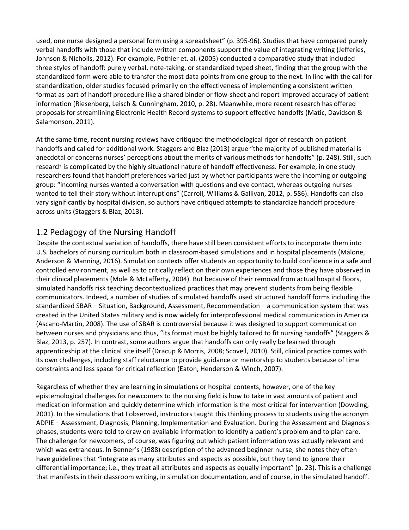used, one nurse designed a personal form using a spreadsheet" (p. 395-96). Studies that have compared purely verbal handoffs with those that include written components support the value of integrating writing (Jefferies, Johnson & Nicholls, 2012). For example, Pothier et. al. (2005) conducted a comparative study that included three styles of handoff: purely verbal, note-taking, or standardized typed sheet, finding that the group with the standardized form were able to transfer the most data points from one group to the next. In line with the call for standardization, older studies focused primarily on the effectiveness of implementing a consistent written format as part of handoff procedure like a shared binder or flow-sheet and report improved accuracy of patient information (Riesenberg, Leisch & Cunningham, 2010, p. 28). Meanwhile, more recent research has offered proposals for streamlining Electronic Health Record systems to support effective handoffs (Matic, Davidson & Salamonson, 2011).

At the same time, recent nursing reviews have critiqued the methodological rigor of research on patient handoffs and called for additional work. Staggers and Blaz (2013) argue "the majority of published material is anecdotal or concerns nurses' perceptions about the merits of various methods for handoffs" (p. 248). Still, such research is complicated by the highly situational nature of handoff effectiveness. For example, in one study researchers found that handoff preferences varied just by whether participants were the incoming or outgoing group: "incoming nurses wanted a conversation with questions and eye contact, whereas outgoing nurses wanted to tell their story without interruptions" (Carroll, Williams & Gallivan, 2012, p. 586). Handoffs can also vary significantly by hospital division, so authors have critiqued attempts to standardize handoff procedure across units (Staggers & Blaz, 2013).

#### 1.2 Pedagogy of the Nursing Handoff

Despite the contextual variation of handoffs, there have still been consistent efforts to incorporate them into U.S. bachelors of nursing curriculum both in classroom-based simulations and in hospital placements (Malone, Anderson & Manning, 2016). Simulation contexts offer students an opportunity to build confidence in a safe and controlled environment, as well as to critically reflect on their own experiences and those they have observed in their clinical placements (Mole & McLafferty, 2004). But because of their removal from actual hospital floors, simulated handoffs risk teaching decontextualized practices that may prevent students from being flexible communicators. Indeed, a number of studies of simulated handoffs used structured handoff forms including the standardized SBAR – Situation, Background, Assessment, Recommendation – a communication system that was created in the United States military and is now widely for interprofessional medical communication in America (Ascano-Martin, 2008). The use of SBAR is controversial because it was designed to support communication between nurses and physicians and thus, "its format must be highly tailored to fit nursing handoffs" (Staggers & Blaz, 2013, p. 257). In contrast, some authors argue that handoffs can only really be learned through apprenticeship at the clinical site itself (Dracup & Morris, 2008; Scovell, 2010). Still, clinical practice comes with its own challenges, including staff reluctance to provide guidance or mentorship to students because of time constraints and less space for critical reflection (Eaton, Henderson & Winch, 2007).

Regardless of whether they are learning in simulations or hospital contexts, however, one of the key epistemological challenges for newcomers to the nursing field is how to take in vast amounts of patient and medication information and quickly determine which information is the most critical for intervention (Dowding, 2001). In the simulations that I observed, instructors taught this thinking process to students using the acronym ADPIE – Assessment, Diagnosis, Planning, Implementation and Evaluation. During the Assessment and Diagnosis phases, students were told to draw on available information to identify a patient's problem and to plan care. The challenge for newcomers, of course, was figuring out which patient information was actually relevant and which was extraneous. In Benner's (1988) description of the advanced beginner nurse, she notes they often have guidelines that "integrate as many attributes and aspects as possible, but they tend to ignore their differential importance; i.e., they treat all attributes and aspects as equally important" (p. 23). This is a challenge that manifests in their classroom writing, in simulation documentation, and of course, in the simulated handoff.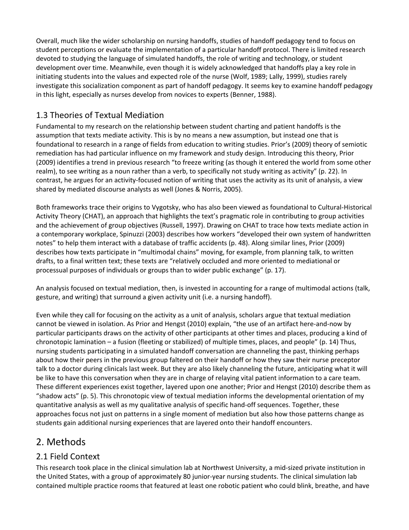Overall, much like the wider scholarship on nursing handoffs, studies of handoff pedagogy tend to focus on student perceptions or evaluate the implementation of a particular handoff protocol. There is limited research devoted to studying the language of simulated handoffs, the role of writing and technology, or student development over time. Meanwhile, even though it is widely acknowledged that handoffs play a key role in initiating students into the values and expected role of the nurse (Wolf, 1989; Lally, 1999), studies rarely investigate this socialization component as part of handoff pedagogy. It seems key to examine handoff pedagogy in this light, especially as nurses develop from novices to experts (Benner, 1988).

#### 1.3 Theories of Textual Mediation

Fundamental to my research on the relationship between student charting and patient handoffs is the assumption that texts mediate activity. This is by no means a new assumption, but instead one that is foundational to research in a range of fields from education to writing studies. Prior's (2009) theory of semiotic remediation has had particular influence on my framework and study design. Introducing this theory, Prior (2009) identifies a trend in previous research "to freeze writing (as though it entered the world from some other realm), to see writing as a noun rather than a verb, to specifically not study writing as activity" (p. 22). In contrast, he argues for an activity-focused notion of writing that uses the activity as its unit of analysis, a view shared by mediated discourse analysts as well (Jones & Norris, 2005).

Both frameworks trace their origins to Vygotsky, who has also been viewed as foundational to Cultural-Historical Activity Theory (CHAT), an approach that highlights the text's pragmatic role in contributing to group activities and the achievement of group objectives (Russell, 1997). Drawing on CHAT to trace how texts mediate action in a contemporary workplace, Spinuzzi (2003) describes how workers "developed their own system of handwritten notes" to help them interact with a database of traffic accidents (p. 48). Along similar lines, Prior (2009) describes how texts participate in "multimodal chains" moving, for example, from planning talk, to written drafts, to a final written text; these texts are "relatively occluded and more oriented to mediational or processual purposes of individuals or groups than to wider public exchange" (p. 17).

An analysis focused on textual mediation, then, is invested in accounting for a range of multimodal actions (talk, gesture, and writing) that surround a given activity unit (i.e. a nursing handoff).

Even while they call for focusing on the activity as a unit of analysis, scholars argue that textual mediation cannot be viewed in isolation. As Prior and Hengst (2010) explain, "the use of an artifact here-and-now by particular participants draws on the activity of other participants at other times and places, producing a kind of chronotopic lamination – a fusion (fleeting or stabilized) of multiple times, places, and people" (p. 14) Thus, nursing students participating in a simulated handoff conversation are channeling the past, thinking perhaps about how their peers in the previous group faltered on their handoff or how they saw their nurse preceptor talk to a doctor during clinicals last week. But they are also likely channeling the future, anticipating what it will be like to have this conversation when they are in charge of relaying vital patient information to a care team. These different experiences exist together, layered upon one another; Prior and Hengst (2010) describe them as "shadow acts" (p. 5). This chronotopic view of textual mediation informs the developmental orientation of my quantitative analysis as well as my qualitative analysis of specific hand-off sequences. Together, these approaches focus not just on patterns in a single moment of mediation but also how those patterns change as students gain additional nursing experiences that are layered onto their handoff encounters.

# 2. Methods

#### 2.1 Field Context

This research took place in the clinical simulation lab at Northwest University, a mid-sized private institution in the United States, with a group of approximately 80 junior-year nursing students. The clinical simulation lab contained multiple practice rooms that featured at least one robotic patient who could blink, breathe, and have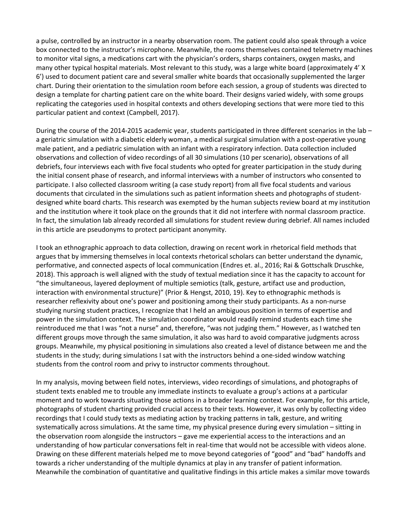a pulse, controlled by an instructor in a nearby observation room. The patient could also speak through a voice box connected to the instructor's microphone. Meanwhile, the rooms themselves contained telemetry machines to monitor vital signs, a medications cart with the physician's orders, sharps containers, oxygen masks, and many other typical hospital materials. Most relevant to this study, was a large white board (approximately 4' X 6') used to document patient care and several smaller white boards that occasionally supplemented the larger chart. During their orientation to the simulation room before each session, a group of students was directed to design a template for charting patient care on the white board. Their designs varied widely, with some groups replicating the categories used in hospital contexts and others developing sections that were more tied to this particular patient and context (Campbell, 2017).

During the course of the 2014-2015 academic year, students participated in three different scenarios in the lab – a geriatric simulation with a diabetic elderly woman, a medical surgical simulation with a post-operative young male patient, and a pediatric simulation with an infant with a respiratory infection. Data collection included observations and collection of video recordings of all 30 simulations (10 per scenario), observations of all debriefs, four interviews each with five focal students who opted for greater participation in the study during the initial consent phase of research, and informal interviews with a number of instructors who consented to participate. I also collected classroom writing (a case study report) from all five focal students and various documents that circulated in the simulations such as patient information sheets and photographs of studentdesigned white board charts. This research was exempted by the human subjects review board at my institution and the institution where it took place on the grounds that it did not interfere with normal classroom practice. In fact, the simulation lab already recorded all simulations for student review during debrief. All names included in this article are pseudonyms to protect participant anonymity.

I took an ethnographic approach to data collection, drawing on recent work in rhetorical field methods that argues that by immersing themselves in local contexts rhetorical scholars can better understand the dynamic, performative, and connected aspects of local communication (Endres et. al., 2016; Rai & Gottschalk Druschke, 2018). This approach is well aligned with the study of textual mediation since it has the capacity to account for "the simultaneous, layered deployment of multiple semiotics (talk, gesture, artifact use and production, interaction with environmental structure)" (Prior & Hengst, 2010, 19). Key to ethnographic methods is researcher reflexivity about one's power and positioning among their study participants. As a non-nurse studying nursing student practices, I recognize that I held an ambiguous position in terms of expertise and power in the simulation context. The simulation coordinator would readily remind students each time she reintroduced me that I was "not a nurse" and, therefore, "was not judging them." However, as I watched ten different groups move through the same simulation, it also was hard to avoid comparative judgments across groups. Meanwhile, my physical positioning in simulations also created a level of distance between me and the students in the study; during simulations I sat with the instructors behind a one-sided window watching students from the control room and privy to instructor comments throughout.

In my analysis, moving between field notes, interviews, video recordings of simulations, and photographs of student texts enabled me to trouble any immediate instincts to evaluate a group's actions at a particular moment and to work towards situating those actions in a broader learning context. For example, for this article, photographs of student charting provided crucial access to their texts. However, it was only by collecting video recordings that I could study texts as mediating action by tracking patterns in talk, gesture, and writing systematically across simulations. At the same time, my physical presence during every simulation – sitting in the observation room alongside the instructors – gave me experiential access to the interactions and an understanding of how particular conversations felt in real-time that would not be accessible with videos alone. Drawing on these different materials helped me to move beyond categories of "good" and "bad" handoffs and towards a richer understanding of the multiple dynamics at play in any transfer of patient information. Meanwhile the combination of quantitative and qualitative findings in this article makes a similar move towards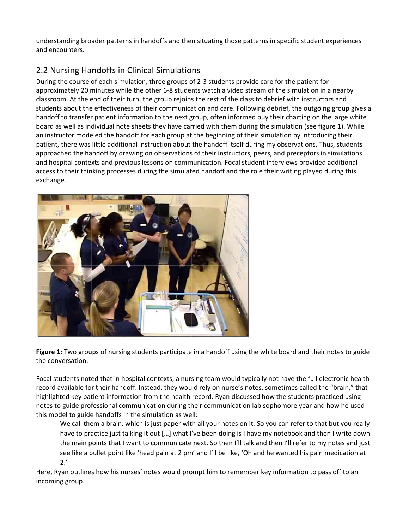understanding broader patterns in handoffs and then situating those patterns in specific student experiences and encounters.

# 2.2 Nursing Handoffs in Clinical Simulations

During the course of each simulation, three groups of 2-3 students provide care for the patient for approximately 20 minutes while the other 6-8 students watch a video stream of the simulation in a nearby classroom. At the end of their turn, the group rejoins the rest of the class to debrief with instructors and students about the effectiveness of their communication and care. Following debrief, the outgoing group gives a handoff to transfer patient information to the next group, often informed buy their charting on the large white board as well as individual note sheets they have carried with them during the simulation (see figure 1). While an instructor modeled the handoff for each group at the beginning of their simulation by introducing their patient, there was little additional instruction about the handoff itself during my observations. Thus, students approached the handoff by drawing on observations of their instructors, peers, and preceptors in simulations and hospital contexts and previous lessons on communication. Focal student interviews provided additional access to their thinking processes during the simulated handoff and the role their writing played during this exchange.



**Figure 1:** Two groups of nursing students participate in a handoff using the white board and their notes to guide the conversation.

Focal students noted that in hospital contexts, a nursing team would typically not have the full electronic health record available for their handoff. Instead, they would rely on nurse's notes, sometimes called the "brain," that highlighted key patient information from the health record. Ryan discussed how the students practiced using notes to guide professional communication during their communication lab sophomore year and how he used this model to guide handoffs in the simulation as well:

We call them a brain, which is just paper with all your notes on it. So you can refer to that but you really have to practice just talking it out […] what I've been doing is I have my notebook and then I write down the main points that I want to communicate next. So then I'll talk and then I'll refer to my notes and just see like a bullet point like 'head pain at 2 pm' and I'll be like, 'Oh and he wanted his pain medication at 2.'

Here, Ryan outlines how his nurses' notes would prompt him to remember key information to pass off to an incoming group.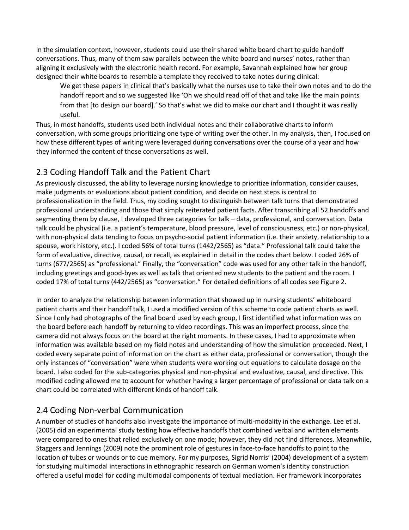In the simulation context, however, students could use their shared white board chart to guide handoff conversations. Thus, many of them saw parallels between the white board and nurses' notes, rather than aligning it exclusively with the electronic health record. For example, Savannah explained how her group designed their white boards to resemble a template they received to take notes during clinical:

We get these papers in clinical that's basically what the nurses use to take their own notes and to do the handoff report and so we suggested like 'Oh we should read off of that and take like the main points from that [to design our board].' So that's what we did to make our chart and I thought it was really useful.

Thus, in most handoffs, students used both individual notes and their collaborative charts to inform conversation, with some groups prioritizing one type of writing over the other. In my analysis, then, I focused on how these different types of writing were leveraged during conversations over the course of a year and how they informed the content of those conversations as well.

#### 2.3 Coding Handoff Talk and the Patient Chart

As previously discussed, the ability to leverage nursing knowledge to prioritize information, consider causes, make judgments or evaluations about patient condition, and decide on next steps is central to professionalization in the field. Thus, my coding sought to distinguish between talk turns that demonstrated professional understanding and those that simply reiterated patient facts. After transcribing all 52 handoffs and segmenting them by clause, I developed three categories for talk – data, professional, and conversation. Data talk could be physical (i.e. a patient's temperature, blood pressure, level of consciousness, etc.) or non-physical, with non-physical data tending to focus on psycho-social patient information (i.e. their anxiety, relationship to a spouse, work history, etc.). I coded 56% of total turns (1442/2565) as "data." Professional talk could take the form of evaluative, directive, causal, or recall, as explained in detail in the codes chart below. I coded 26% of turns (677/2565) as "professional." Finally, the "conversation" code was used for any other talk in the handoff, including greetings and good-byes as well as talk that oriented new students to the patient and the room. I coded 17% of total turns (442/2565) as "conversation." For detailed definitions of all codes see Figure 2.

In order to analyze the relationship between information that showed up in nursing students' whiteboard patient charts and their handoff talk, I used a modified version of this scheme to code patient charts as well. Since I only had photographs of the final board used by each group, I first identified what information was on the board before each handoff by returning to video recordings. This was an imperfect process, since the camera did not always focus on the board at the right moments. In these cases, I had to approximate when information was available based on my field notes and understanding of how the simulation proceeded. Next, I coded every separate point of information on the chart as either data, professional or conversation, though the only instances of "conversation" were when students were working out equations to calculate dosage on the board. I also coded for the sub-categories physical and non-physical and evaluative, causal, and directive. This modified coding allowed me to account for whether having a larger percentage of professional or data talk on a chart could be correlated with different kinds of handoff talk.

#### 2.4 Coding Non-verbal Communication

A number of studies of handoffs also investigate the importance of multi-modality in the exchange. Lee et al. (2005) did an experimental study testing how effective handoffs that combined verbal and written elements were compared to ones that relied exclusively on one mode; however, they did not find differences. Meanwhile, Staggers and Jennings (2009) note the prominent role of gestures in face-to-face handoffs to point to the location of tubes or wounds or to cue memory. For my purposes, Sigrid Norris' (2004) development of a system for studying multimodal interactions in ethnographic research on German women's identity construction offered a useful model for coding multimodal components of textual mediation. Her framework incorporates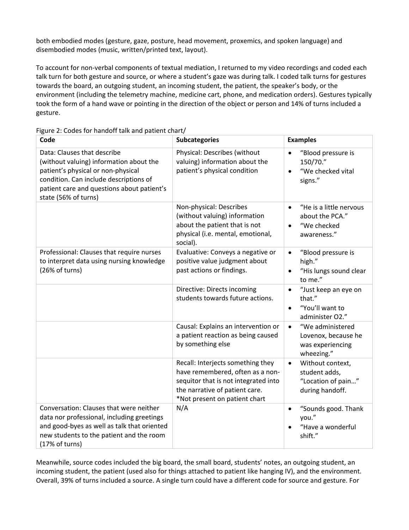both embodied modes (gesture, gaze, posture, head movement, proxemics, and spoken language) and disembodied modes (music, written/printed text, layout).

To account for non-verbal components of textual mediation, I returned to my video recordings and coded each talk turn for both gesture and source, or where a student's gaze was during talk. I coded talk turns for gestures towards the board, an outgoing student, an incoming student, the patient, the speaker's body, or the environment (including the telemetry machine, medicine cart, phone, and medication orders). Gestures typically took the form of a hand wave or pointing in the direction of the object or person and 14% of turns included a gesture.

| Code                                                                                                                                                                                                                         | <b>Subcategories</b>                                                                                                                                                             | <b>Examples</b>                                                                                    |
|------------------------------------------------------------------------------------------------------------------------------------------------------------------------------------------------------------------------------|----------------------------------------------------------------------------------------------------------------------------------------------------------------------------------|----------------------------------------------------------------------------------------------------|
| Data: Clauses that describe<br>(without valuing) information about the<br>patient's physical or non-physical<br>condition. Can include descriptions of<br>patient care and questions about patient's<br>state (56% of turns) | Physical: Describes (without<br>valuing) information about the<br>patient's physical condition                                                                                   | "Blood pressure is<br>$\bullet$<br>150/70."<br>"We checked vital<br>$\bullet$<br>signs."           |
|                                                                                                                                                                                                                              | Non-physical: Describes<br>(without valuing) information<br>about the patient that is not<br>physical (i.e. mental, emotional,<br>social).                                       | "He is a little nervous<br>$\bullet$<br>about the PCA."<br>"We checked<br>$\bullet$<br>awareness." |
| Professional: Clauses that require nurses<br>to interpret data using nursing knowledge<br>(26% of turns)                                                                                                                     | Evaluative: Conveys a negative or<br>positive value judgment about<br>past actions or findings.                                                                                  | "Blood pressure is<br>$\bullet$<br>high."<br>"His lungs sound clear<br>$\bullet$<br>to me."        |
|                                                                                                                                                                                                                              | Directive: Directs incoming<br>students towards future actions.                                                                                                                  | "Just keep an eye on<br>$\bullet$<br>that."<br>"You'll want to<br>$\bullet$<br>administer O2."     |
|                                                                                                                                                                                                                              | Causal: Explains an intervention or<br>a patient reaction as being caused<br>by something else                                                                                   | "We administered<br>$\bullet$<br>Lovenox, because he<br>was experiencing<br>wheezing."             |
|                                                                                                                                                                                                                              | Recall: Interjects something they<br>have remembered, often as a non-<br>sequitor that is not integrated into<br>the narrative of patient care.<br>*Not present on patient chart | Without context,<br>$\bullet$<br>student adds,<br>"Location of pain"<br>during handoff.            |
| Conversation: Clauses that were neither<br>data nor professional, including greetings<br>and good-byes as well as talk that oriented<br>new students to the patient and the room<br>(17% of turns)                           | N/A                                                                                                                                                                              | "Sounds good. Thank<br>$\bullet$<br>you."<br>"Have a wonderful<br>$\bullet$<br>shift."             |

Figure 2: Codes for handoff talk and patient chart/

Meanwhile, source codes included the big board, the small board, students' notes, an outgoing student, an incoming student, the patient (used also for things attached to patient like hanging IV), and the environment. Overall, 39% of turns included a source. A single turn could have a different code for source and gesture. For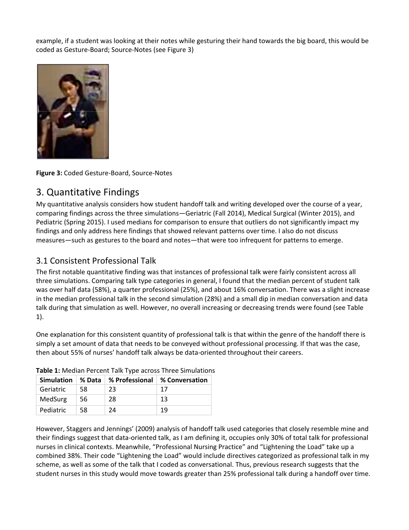example, if a student was looking at their notes while gesturing their hand towards the big board, this would be coded as Gesture-Board; Source-Notes (see Figure 3)



**Figure 3:** Coded Gesture-Board, Source-Notes

# 3. Quantitative Findings

My quantitative analysis considers how student handoff talk and writing developed over the course of a year, comparing findings across the three simulations—Geriatric (Fall 2014), Medical Surgical (Winter 2015), and Pediatric (Spring 2015). I used medians for comparison to ensure that outliers do not significantly impact my findings and only address here findings that showed relevant patterns over time. I also do not discuss measures—such as gestures to the board and notes—that were too infrequent for patterns to emerge.

#### 3.1 Consistent Professional Talk

The first notable quantitative finding was that instances of professional talk were fairly consistent across all three simulations. Comparing talk type categories in general, I found that the median percent of student talk was over half data (58%), a quarter professional (25%), and about 16% conversation. There was a slight increase in the median professional talk in the second simulation (28%) and a small dip in median conversation and data talk during that simulation as well. However, no overall increasing or decreasing trends were found (see Table 1).

One explanation for this consistent quantity of professional talk is that within the genre of the handoff there is simply a set amount of data that needs to be conveyed without professional processing. If that was the case, then about 55% of nurses' handoff talk always be data-oriented throughout their careers.

| <b>Simulation</b> | % Data | % Professional | ∣% Conversation |
|-------------------|--------|----------------|-----------------|
| Geriatric         | 58     | 23             | 17              |
| MedSurg           | 56     | 28             | 13              |
| Pediatric         | 58     | 24             | 19              |

**Table 1:** Median Percent Talk Type across Three Simulations

However, Staggers and Jennings' (2009) analysis of handoff talk used categories that closely resemble mine and their findings suggest that data-oriented talk, as I am defining it, occupies only 30% of total talk for professional nurses in clinical contexts. Meanwhile, "Professional Nursing Practice" and "Lightening the Load" take up a combined 38%. Their code "Lightening the Load" would include directives categorized as professional talk in my scheme, as well as some of the talk that I coded as conversational. Thus, previous research suggests that the student nurses in this study would move towards greater than 25% professional talk during a handoff over time.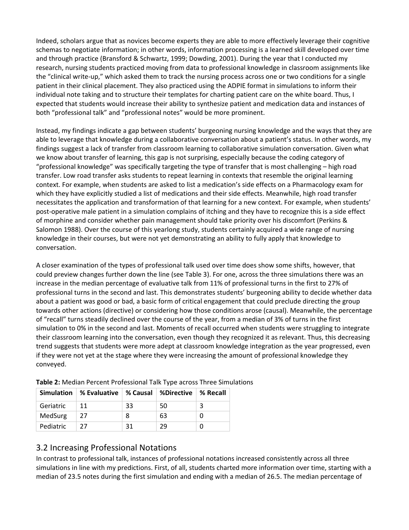Indeed, scholars argue that as novices become experts they are able to more effectively leverage their cognitive schemas to negotiate information; in other words, information processing is a learned skill developed over time and through practice (Bransford & Schwartz, 1999; Dowding, 2001). During the year that I conducted my research, nursing students practiced moving from data to professional knowledge in classroom assignments like the "clinical write-up," which asked them to track the nursing process across one or two conditions for a single patient in their clinical placement. They also practiced using the ADPIE format in simulations to inform their individual note taking and to structure their templates for charting patient care on the white board. Thus, I expected that students would increase their ability to synthesize patient and medication data and instances of both "professional talk" and "professional notes" would be more prominent.

Instead, my findings indicate a gap between students' burgeoning nursing knowledge and the ways that they are able to leverage that knowledge during a collaborative conversation about a patient's status. In other words, my findings suggest a lack of transfer from classroom learning to collaborative simulation conversation. Given what we know about transfer of learning, this gap is not surprising, especially because the coding category of "professional knowledge" was specifically targeting the type of transfer that is most challenging – high road transfer. Low road transfer asks students to repeat learning in contexts that resemble the original learning context. For example, when students are asked to list a medication's side effects on a Pharmacology exam for which they have explicitly studied a list of medications and their side effects. Meanwhile, high road transfer necessitates the application and transformation of that learning for a new context. For example, when students' post-operative male patient in a simulation complains of itching and they have to recognize this is a side effect of morphine and consider whether pain management should take priority over his discomfort (Perkins & Salomon 1988). Over the course of this yearlong study, students certainly acquired a wide range of nursing knowledge in their courses, but were not yet demonstrating an ability to fully apply that knowledge to conversation.

A closer examination of the types of professional talk used over time does show some shifts, however, that could preview changes further down the line (see Table 3). For one, across the three simulations there was an increase in the median percentage of evaluative talk from 11% of professional turns in the first to 27% of professional turns in the second and last. This demonstrates students' burgeoning ability to decide whether data about a patient was good or bad, a basic form of critical engagement that could preclude directing the group towards other actions (directive) or considering how those conditions arose (causal). Meanwhile, the percentage of "recall" turns steadily declined over the course of the year, from a median of 3% of turns in the first simulation to 0% in the second and last. Moments of recall occurred when students were struggling to integrate their classroom learning into the conversation, even though they recognized it as relevant. Thus, this decreasing trend suggests that students were more adept at classroom knowledge integration as the year progressed, even if they were not yet at the stage where they were increasing the amount of professional knowledge they conveyed.

|           | Simulation   % Evaluative   % Causal   %Directive   % Recall |    |    |   |
|-----------|--------------------------------------------------------------|----|----|---|
| Geriatric |                                                              | 33 | 50 | 3 |
| MedSurg   | 27                                                           |    | 63 |   |
| Pediatric | 27                                                           | 31 | 29 |   |

**Table 2:** Median Percent Professional Talk Type across Three Simulations

#### 3.2 Increasing Professional Notations

In contrast to professional talk, instances of professional notations increased consistently across all three simulations in line with my predictions. First, of all, students charted more information over time, starting with a median of 23.5 notes during the first simulation and ending with a median of 26.5. The median percentage of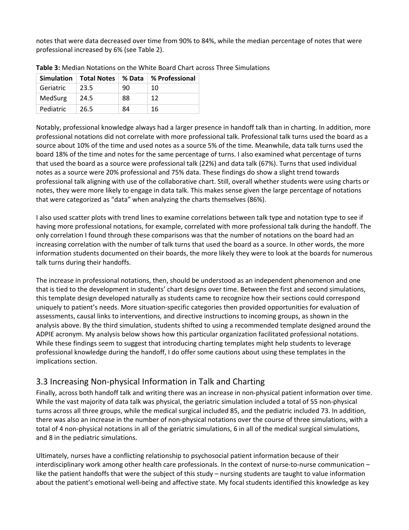notes that were data decreased over time from 90% to 84%, while the median percentage of notes that were professional increased by 6% (see Table 2).

|           | Simulation   Total Notes | % Data | % Professional |
|-----------|--------------------------|--------|----------------|
| Geriatric | 23.5                     | 90     | 10             |
| MedSurg   | 24.5                     | 88     | 12             |
| Pediatric | 26.5                     | 84     | 16             |

**Table 3:** Median Notations on the White Board Chart across Three Simulations

Notably, professional knowledge always had a larger presence in handoff talk than in charting. In addition, more professional notations did not correlate with more professional talk. Professional talk turns used the board as a source about 10% of the time and used notes as a source 5% of the time. Meanwhile, data talk turns used the board 18% of the time and notes for the same percentage of turns. I also examined what percentage of turns that used the board as a source were professional talk (22%) and data talk (67%). Turns that used individual notes as a source were 20% professional and 75% data. These findings do show a slight trend towards professional talk aligning with use of the collaborative chart. Still, overall whether students were using charts or notes, they were more likely to engage in data talk. This makes sense given the large percentage of notations that were categorized as "data" when analyzing the charts themselves (86%).

I also used scatter plots with trend lines to examine correlations between talk type and notation type to see if having more professional notations, for example, correlated with more professional talk during the handoff. The only correlation I found through these comparisons was that the number of notations on the board had an increasing correlation with the number of talk turns that used the board as a source. In other words, the more information students documented on their boards, the more likely they were to look at the boards for numerous talk turns during their handoffs.

The increase in professional notations, then, should be understood as an independent phenomenon and one that is tied to the development in students' chart designs over time. Between the first and second simulations, this template design developed naturally as students came to recognize how their sections could correspond uniquely to patient's needs. More situation-specific categories then provided opportunities for evaluation of assessments, causal links to interventions, and directive instructions to incoming groups, as shown in the analysis above. By the third simulation, students shifted to using a recommended template designed around the ADPIE acronym. My analysis below shows how this particular organization facilitated professional notations. While these findings seem to suggest that introducing charting templates might help students to leverage professional knowledge during the handoff, I do offer some cautions about using these templates in the implications section.

#### 3.3 Increasing Non-physical Information in Talk and Charting

Finally, across both handoff talk and writing there was an increase in non-physical patient information over time. While the vast majority of data talk was physical, the geriatric simulation included a total of 55 non-physical turns across all three groups, while the medical surgical included 85, and the pediatric included 73. In addition, there was also an increase in the number of non-physical notations over the course of three simulations, with a total of 4 non-physical notations in all of the geriatric simulations, 6 in all of the medical surgical simulations, and 8 in the pediatric simulations.

Ultimately, nurses have a conflicting relationship to psychosocial patient information because of their interdisciplinary work among other health care professionals. In the context of nurse-to-nurse communication – like the patient handoffs that were the subject of this study – nursing students are taught to value information about the patient's emotional well-being and affective state. My focal students identified this knowledge as key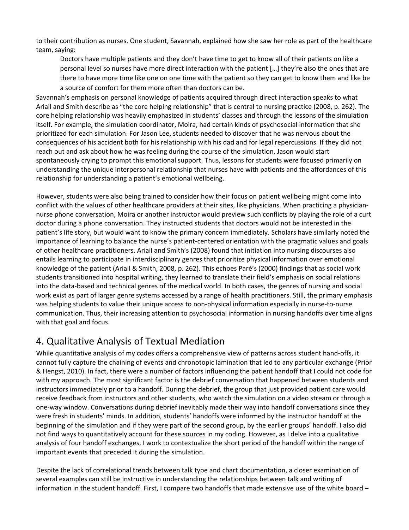to their contribution as nurses. One student, Savannah, explained how she saw her role as part of the healthcare team, saying:

Doctors have multiple patients and they don't have time to get to know all of their patients on like a personal level so nurses have more direct interaction with the patient […] they're also the ones that are there to have more time like one on one time with the patient so they can get to know them and like be a source of comfort for them more often than doctors can be.

Savannah's emphasis on personal knowledge of patients acquired through direct interaction speaks to what Ariail and Smith describe as "the core helping relationship" that is central to nursing practice (2008, p. 262). The core helping relationship was heavily emphasized in students' classes and through the lessons of the simulation itself. For example, the simulation coordinator, Moira, had certain kinds of psychosocial information that she prioritized for each simulation. For Jason Lee, students needed to discover that he was nervous about the consequences of his accident both for his relationship with his dad and for legal repercussions. If they did not reach out and ask about how he was feeling during the course of the simulation, Jason would start spontaneously crying to prompt this emotional support. Thus, lessons for students were focused primarily on understanding the unique interpersonal relationship that nurses have with patients and the affordances of this relationship for understanding a patient's emotional wellbeing.

However, students were also being trained to consider how their focus on patient wellbeing might come into conflict with the values of other healthcare providers at their sites, like physicians. When practicing a physiciannurse phone conversation, Moira or another instructor would preview such conflicts by playing the role of a curt doctor during a phone conversation. They instructed students that doctors would not be interested in the patient's life story, but would want to know the primary concern immediately. Scholars have similarly noted the importance of learning to balance the nurse's patient-centered orientation with the pragmatic values and goals of other healthcare practitioners. Ariail and Smith's (2008) found that initiation into nursing discourses also entails learning to participate in interdisciplinary genres that prioritize physical information over emotional knowledge of the patient (Ariail & Smith, 2008, p. 262). This echoes Paré's (2000) findings that as social work students transitioned into hospital writing, they learned to translate their field's emphasis on social relations into the data-based and technical genres of the medical world. In both cases, the genres of nursing and social work exist as part of larger genre systems accessed by a range of health practitioners. Still, the primary emphasis was helping students to value their unique access to non-physical information especially in nurse-to-nurse communication. Thus, their increasing attention to psychosocial information in nursing handoffs over time aligns with that goal and focus.

# 4. Qualitative Analysis of Textual Mediation

While quantitative analysis of my codes offers a comprehensive view of patterns across student hand-offs, it cannot fully capture the chaining of events and chronotopic lamination that led to any particular exchange (Prior & Hengst, 2010). In fact, there were a number of factors influencing the patient handoff that I could not code for with my approach. The most significant factor is the debrief conversation that happened between students and instructors immediately prior to a handoff. During the debrief, the group that just provided patient care would receive feedback from instructors and other students, who watch the simulation on a video stream or through a one-way window. Conversations during debrief inevitably made their way into handoff conversations since they were fresh in students' minds. In addition, students' handoffs were informed by the instructor handoff at the beginning of the simulation and if they were part of the second group, by the earlier groups' handoff. I also did not find ways to quantitatively account for these sources in my coding. However, as I delve into a qualitative analysis of four handoff exchanges, I work to contextualize the short period of the handoff within the range of important events that preceded it during the simulation.

Despite the lack of correlational trends between talk type and chart documentation, a closer examination of several examples can still be instructive in understanding the relationships between talk and writing of information in the student handoff. First, I compare two handoffs that made extensive use of the white board –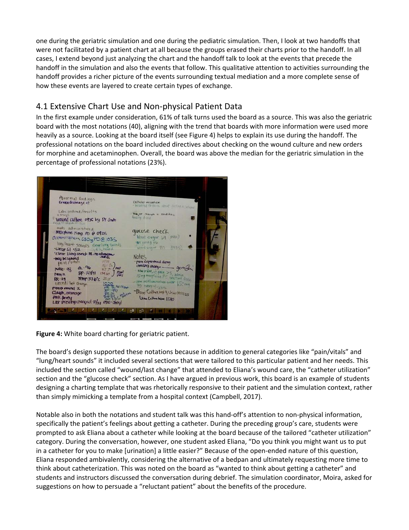one during the geriatric simulation and one during the pediatric simulation. Then, I look at two handoffs that were not facilitated by a patient chart at all because the groups erased their charts prior to the handoff. In all cases, I extend beyond just analyzing the chart and the handoff talk to look at the events that precede the handoff in the simulation and also the events that follow. This qualitative attention to activities surrounding the handoff provides a richer picture of the events surrounding textual mediation and a more complete sense of how these events are layered to create certain types of exchange.

#### 4.1 Extensive Chart Use and Non-physical Patient Data

In the first example under consideration, 61% of talk turns used the board as a source. This was also the geriatric board with the most notations (40), aligning with the trend that boards with more information were used more heavily as a source. Looking at the board itself (see Figure 4) helps to explain its use during the handoff. The professional notations on the board included directives about checking on the wound culture and new orders for morphine and acetaminophen. Overall, the board was above the median for the geriatric simulation in the percentage of professional notations (23%).



**Figure 4:** White board charting for geriatric patient.

The board's design supported these notations because in addition to general categories like "pain/vitals" and "lung/heart sounds" it included several sections that were tailored to this particular patient and her needs. This included the section called "wound/last change" that attended to Eliana's wound care, the "catheter utilization" section and the "glucose check" section. As I have argued in previous work, this board is an example of students designing a charting template that was rhetorically responsive to their patient and the simulation context, rather than simply mimicking a template from a hospital context (Campbell, 2017).

Notable also in both the notations and student talk was this hand-off's attention to non-physical information, specifically the patient's feelings about getting a catheter. During the preceding group's care, students were prompted to ask Eliana about a catheter while looking at the board because of the tailored "catheter utilization" category. During the conversation, however, one student asked Eliana, "Do you think you might want us to put in a catheter for you to make [urination] a little easier?" Because of the open-ended nature of this question, Eliana responded ambivalently, considering the alternative of a bedpan and ultimately requesting more time to think about catheterization. This was noted on the board as "wanted to think about getting a catheter" and students and instructors discussed the conversation during debrief. The simulation coordinator, Moira, asked for suggestions on how to persuade a "reluctant patient" about the benefits of the procedure.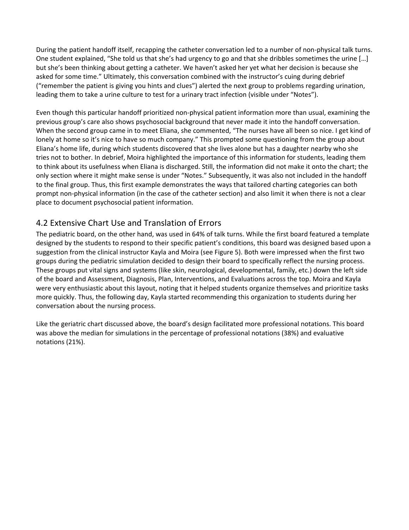During the patient handoff itself, recapping the catheter conversation led to a number of non-physical talk turns. One student explained, "She told us that she's had urgency to go and that she dribbles sometimes the urine […] but she's been thinking about getting a catheter. We haven't asked her yet what her decision is because she asked for some time." Ultimately, this conversation combined with the instructor's cuing during debrief ("remember the patient is giving you hints and clues") alerted the next group to problems regarding urination, leading them to take a urine culture to test for a urinary tract infection (visible under "Notes").

Even though this particular handoff prioritized non-physical patient information more than usual, examining the previous group's care also shows psychosocial background that never made it into the handoff conversation. When the second group came in to meet Eliana, she commented, "The nurses have all been so nice. I get kind of lonely at home so it's nice to have so much company." This prompted some questioning from the group about Eliana's home life, during which students discovered that she lives alone but has a daughter nearby who she tries not to bother. In debrief, Moira highlighted the importance of this information for students, leading them to think about its usefulness when Eliana is discharged. Still, the information did not make it onto the chart; the only section where it might make sense is under "Notes." Subsequently, it was also not included in the handoff to the final group. Thus, this first example demonstrates the ways that tailored charting categories can both prompt non-physical information (in the case of the catheter section) and also limit it when there is not a clear place to document psychosocial patient information.

#### 4.2 Extensive Chart Use and Translation of Errors

The pediatric board, on the other hand, was used in 64% of talk turns. While the first board featured a template designed by the students to respond to their specific patient's conditions, this board was designed based upon a suggestion from the clinical instructor Kayla and Moira (see Figure 5). Both were impressed when the first two groups during the pediatric simulation decided to design their board to specifically reflect the nursing process. These groups put vital signs and systems (like skin, neurological, developmental, family, etc.) down the left side of the board and Assessment, Diagnosis, Plan, Interventions, and Evaluations across the top. Moira and Kayla were very enthusiastic about this layout, noting that it helped students organize themselves and prioritize tasks more quickly. Thus, the following day, Kayla started recommending this organization to students during her conversation about the nursing process.

Like the geriatric chart discussed above, the board's design facilitated more professional notations. This board was above the median for simulations in the percentage of professional notations (38%) and evaluative notations (21%).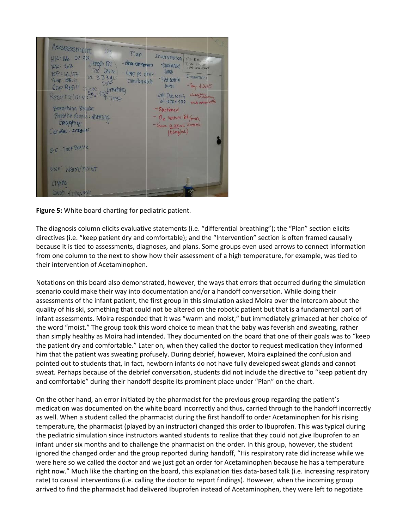

**Figure 5:** White board charting for pediatric patient.

The diagnosis column elicits evaluative statements (i.e. "differential breathing"); the "Plan" section elicits directives (i.e. "keep patient dry and comfortable); and the "Intervention" section is often framed causally because it is tied to assessments, diagnoses, and plans. Some groups even used arrows to connect information from one column to the next to show how their assessment of a high temperature, for example, was tied to their intervention of Acetaminophen.

Notations on this board also demonstrated, however, the ways that errors that occurred during the simulation scenario could make their way into documentation and/or a handoff conversation. While doing their assessments of the infant patient, the first group in this simulation asked Moira over the intercom about the quality of his ski, something that could not be altered on the robotic patient but that is a fundamental part of infant assessments. Moira responded that it was "warm and moist," but immediately grimaced at her choice of the word "moist." The group took this word choice to mean that the baby was feverish and sweating, rather than simply healthy as Moira had intended. They documented on the board that one of their goals was to "keep the patient dry and comfortable." Later on, when they called the doctor to request medication they informed him that the patient was sweating profusely. During debrief, however, Moira explained the confusion and pointed out to students that, in fact, newborn infants do not have fully developed sweat glands and cannot sweat. Perhaps because of the debrief conversation, students did not include the directive to "keep patient dry and comfortable" during their handoff despite its prominent place under "Plan" on the chart.

On the other hand, an error initiated by the pharmacist for the previous group regarding the patient's medication was documented on the white board incorrectly and thus, carried through to the handoff incorrectly as well. When a student called the pharmacist during the first handoff to order Acetaminophen for his rising temperature, the pharmacist (played by an instructor) changed this order to Ibuprofen. This was typical during the pediatric simulation since instructors wanted students to realize that they could not give Ibuprofen to an infant under six months and to challenge the pharmacist on the order. In this group, however, the student ignored the changed order and the group reported during handoff, "His respiratory rate did increase while we were here so we called the doctor and we just got an order for Acetaminophen because he has a temperature right now." Much like the charting on the board, this explanation ties data-based talk (i.e. increasing respiratory rate) to causal interventions (i.e. calling the doctor to report findings). However, when the incoming group arrived to find the pharmacist had delivered Ibuprofen instead of Acetaminophen, they were left to negotiate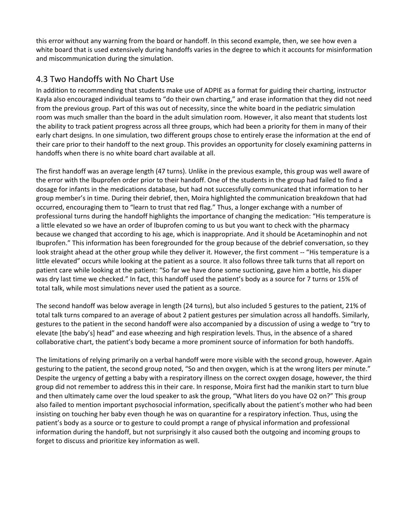this error without any warning from the board or handoff. In this second example, then, we see how even a white board that is used extensively during handoffs varies in the degree to which it accounts for misinformation and miscommunication during the simulation.

#### 4.3 Two Handoffs with No Chart Use

In addition to recommending that students make use of ADPIE as a format for guiding their charting, instructor Kayla also encouraged individual teams to "do their own charting," and erase information that they did not need from the previous group. Part of this was out of necessity, since the white board in the pediatric simulation room was much smaller than the board in the adult simulation room. However, it also meant that students lost the ability to track patient progress across all three groups, which had been a priority for them in many of their early chart designs. In one simulation, two different groups chose to entirely erase the information at the end of their care prior to their handoff to the next group. This provides an opportunity for closely examining patterns in handoffs when there is no white board chart available at all.

The first handoff was an average length (47 turns). Unlike in the previous example, this group was well aware of the error with the Ibuprofen order prior to their handoff. One of the students in the group had failed to find a dosage for infants in the medications database, but had not successfully communicated that information to her group member's in time. During their debrief, then, Moira highlighted the communication breakdown that had occurred, encouraging them to "learn to trust that red flag." Thus, a longer exchange with a number of professional turns during the handoff highlights the importance of changing the medication: "His temperature is a little elevated so we have an order of Ibuprofen coming to us but you want to check with the pharmacy because we changed that according to his age, which is inappropriate. And it should be Acetaminophin and not Ibuprofen." This information has been foregrounded for the group because of the debrief conversation, so they look straight ahead at the other group while they deliver it. However, the first comment -- "His temperature is a little elevated" occurs while looking at the patient as a source. It also follows three talk turns that all report on patient care while looking at the patient: "So far we have done some suctioning, gave him a bottle, his diaper was dry last time we checked." In fact, this handoff used the patient's body as a source for 7 turns or 15% of total talk, while most simulations never used the patient as a source.

The second handoff was below average in length (24 turns), but also included 5 gestures to the patient, 21% of total talk turns compared to an average of about 2 patient gestures per simulation across all handoffs. Similarly, gestures to the patient in the second handoff were also accompanied by a discussion of using a wedge to "try to elevate [the baby's] head" and ease wheezing and high respiration levels. Thus, in the absence of a shared collaborative chart, the patient's body became a more prominent source of information for both handoffs.

The limitations of relying primarily on a verbal handoff were more visible with the second group, however. Again gesturing to the patient, the second group noted, "So and then oxygen, which is at the wrong liters per minute." Despite the urgency of getting a baby with a respiratory illness on the correct oxygen dosage, however, the third group did not remember to address this in their care. In response, Moira first had the manikin start to turn blue and then ultimately came over the loud speaker to ask the group, "What liters do you have O2 on?" This group also failed to mention important psychosocial information, specifically about the patient's mother who had been insisting on touching her baby even though he was on quarantine for a respiratory infection. Thus, using the patient's body as a source or to gesture to could prompt a range of physical information and professional information during the handoff, but not surprisingly it also caused both the outgoing and incoming groups to forget to discuss and prioritize key information as well.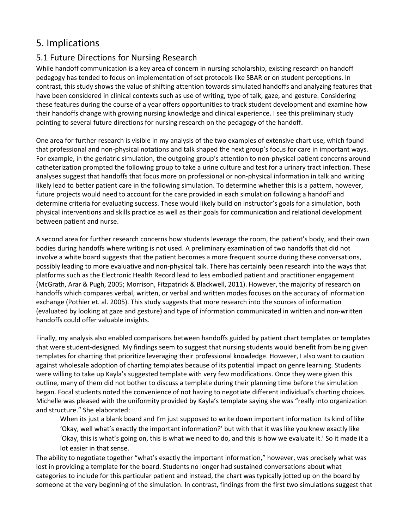# 5. Implications

#### 5.1 Future Directions for Nursing Research

While handoff communication is a key area of concern in nursing scholarship, existing research on handoff pedagogy has tended to focus on implementation of set protocols like SBAR or on student perceptions. In contrast, this study shows the value of shifting attention towards simulated handoffs and analyzing features that have been considered in clinical contexts such as use of writing, type of talk, gaze, and gesture. Considering these features during the course of a year offers opportunities to track student development and examine how their handoffs change with growing nursing knowledge and clinical experience. I see this preliminary study pointing to several future directions for nursing research on the pedagogy of the handoff.

One area for further research is visible in my analysis of the two examples of extensive chart use, which found that professional and non-physical notations and talk shaped the next group's focus for care in important ways. For example, in the geriatric simulation, the outgoing group's attention to non-physical patient concerns around catheterization prompted the following group to take a urine culture and test for a urinary tract infection. These analyses suggest that handoffs that focus more on professional or non-physical information in talk and writing likely lead to better patient care in the following simulation. To determine whether this is a pattern, however, future projects would need to account for the care provided in each simulation following a handoff and determine criteria for evaluating success. These would likely build on instructor's goals for a simulation, both physical interventions and skills practice as well as their goals for communication and relational development between patient and nurse.

A second area for further research concerns how students leverage the room, the patient's body, and their own bodies during handoffs where writing is not used. A preliminary examination of two handoffs that did not involve a white board suggests that the patient becomes a more frequent source during these conversations, possibly leading to more evaluative and non-physical talk. There has certainly been research into the ways that platforms such as the Electronic Health Record lead to less embodied patient and practitioner engagement (McGrath, Arar & Pugh, 2005; Morrison, Fitzpatrick & Blackwell, 2011). However, the majority of research on handoffs which compares verbal, written, or verbal and written modes focuses on the accuracy of information exchange (Pothier et. al. 2005). This study suggests that more research into the sources of information (evaluated by looking at gaze and gesture) and type of information communicated in written and non-written handoffs could offer valuable insights.

Finally, my analysis also enabled comparisons between handoffs guided by patient chart templates or templates that were student-designed. My findings seem to suggest that nursing students would benefit from being given templates for charting that prioritize leveraging their professional knowledge. However, I also want to caution against wholesale adoption of charting templates because of its potential impact on genre learning. Students were willing to take up Kayla's suggested template with very few modifications. Once they were given this outline, many of them did not bother to discuss a template during their planning time before the simulation began. Focal students noted the convenience of not having to negotiate different individual's charting choices. Michelle was pleased with the uniformity provided by Kayla's template saying she was "really into organization and structure." She elaborated:

When its just a blank board and I'm just supposed to write down important information its kind of like 'Okay, well what's exactly the important information?' but with that it was like you knew exactly like 'Okay, this is what's going on, this is what we need to do, and this is how we evaluate it.' So it made it a lot easier in that sense.

The ability to negotiate together "what's exactly the important information," however, was precisely what was lost in providing a template for the board. Students no longer had sustained conversations about what categories to include for this particular patient and instead, the chart was typically jotted up on the board by someone at the very beginning of the simulation. In contrast, findings from the first two simulations suggest that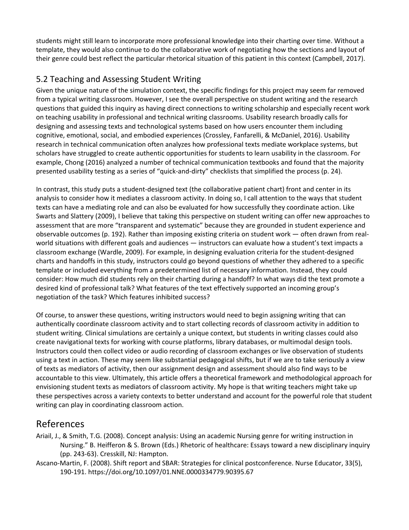students might still learn to incorporate more professional knowledge into their charting over time. Without a template, they would also continue to do the collaborative work of negotiating how the sections and layout of their genre could best reflect the particular rhetorical situation of this patient in this context (Campbell, 2017).

#### 5.2 Teaching and Assessing Student Writing

Given the unique nature of the simulation context, the specific findings for this project may seem far removed from a typical writing classroom. However, I see the overall perspective on student writing and the research questions that guided this inquiry as having direct connections to writing scholarship and especially recent work on teaching usability in professional and technical writing classrooms. Usability research broadly calls for designing and assessing texts and technological systems based on how users encounter them including cognitive, emotional, social, and embodied experiences (Crossley, Fanfarelli, & McDaniel, 2016). Usability research in technical communication often analyzes how professional texts mediate workplace systems, but scholars have struggled to create authentic opportunities for students to learn usability in the classroom. For example, Chong (2016) analyzed a number of technical communication textbooks and found that the majority presented usability testing as a series of "quick-and-dirty" checklists that simplified the process (p. 24).

In contrast, this study puts a student-designed text (the collaborative patient chart) front and center in its analysis to consider how it mediates a classroom activity. In doing so, I call attention to the ways that student texts can have a mediating role and can also be evaluated for how successfully they coordinate action. Like Swarts and Slattery (2009), I believe that taking this perspective on student writing can offer new approaches to assessment that are more "transparent and systematic" because they are grounded in student experience and observable outcomes (p. 192). Rather than imposing existing criteria on student work — often drawn from realworld situations with different goals and audiences — instructors can evaluate how a student's text impacts a classroom exchange (Wardle, 2009). For example, in designing evaluation criteria for the student-designed charts and handoffs in this study, instructors could go beyond questions of whether they adhered to a specific template or included everything from a predetermined list of necessary information. Instead, they could consider: How much did students rely on their charting during a handoff? In what ways did the text promote a desired kind of professional talk? What features of the text effectively supported an incoming group's negotiation of the task? Which features inhibited success?

Of course, to answer these questions, writing instructors would need to begin assigning writing that can authentically coordinate classroom activity and to start collecting records of classroom activity in addition to student writing. Clinical simulations are certainly a unique context, but students in writing classes could also create navigational texts for working with course platforms, library databases, or multimodal design tools. Instructors could then collect video or audio recording of classroom exchanges or live observation of students using a text in action. These may seem like substantial pedagogical shifts, but if we are to take seriously a view of texts as mediators of activity, then our assignment design and assessment should also find ways to be accountable to this view. Ultimately, this article offers a theoretical framework and methodological approach for envisioning student texts as mediators of classroom activity. My hope is that writing teachers might take up these perspectives across a variety contexts to better understand and account for the powerful role that student writing can play in coordinating classroom action.

# References

- Ariail, J., & Smith, T.G. (2008). Concept analysis: Using an academic Nursing genre for writing instruction in Nursing." B. Heifferon & S. Brown (Eds.) Rhetoric of healthcare: Essays toward a new disciplinary inquiry (pp. 243-63). Cresskill, NJ: Hampton.
- Ascano-Martin, F. (2008). Shift report and SBAR: Strategies for clinical postconference. Nurse Educator, 33(5), 190-191.<https://doi.org/10.1097/01.NNE.0000334779.90395.67>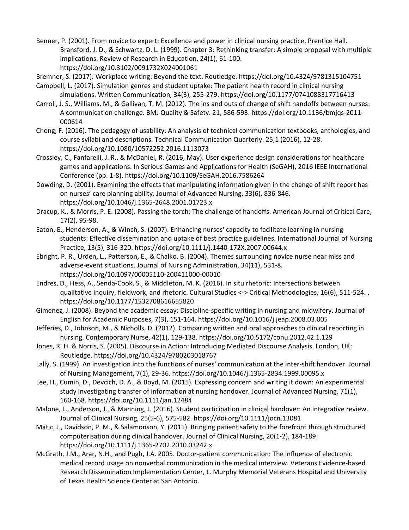- Benner, P. (2001). From novice to expert: Excellence and power in clinical nursing practice, Prentice Hall. Bransford, J. D., & Schwartz, D. L. (1999). Chapter 3: Rethinking transfer: A simple proposal with multiple implications. Review of Research in Education, 24(1), 61-100. https://doi.org/10.3102/0091732X024001061
- Bremner, S. (2017). Workplace writing: Beyond the text. Routledge. [https://doi.org/10.4324/9](https://doi.org/10.4324/)781315104751
- Campbell, L. (2017). Simulation genres and student uptake: The patient health record in clinical nursing simulations. Written Communication, 34(3), 255-279. [https://doi.org/10.1177/0](https://doi.org/10.1177/)741088317716413
- Carroll, J. S., Williams, M., & Gallivan, T. M. (2012). The ins and outs of change of shift handoffs between nurses: A communication challenge. BMJ Quality & Safety. 21, 586-593. https://doi.org/10.1136/bmjqs-2011- 000614
- Chong, F. (2016). The pedagogy of usability: An analysis of technical communication textbooks, anthologies, and course syllabi and descriptions. Technical Communication Quarterly. 25,1 (2016), 12-28. <https://doi.org/10.1080/10572252.2016.1113073>
- Crossley, C., Fanfarelli, J. R., & McDaniel, R. (2016, May). User experience design considerations for healthcare games and applications. In Serious Games and Applications for Health (SeGAH), 2016 IEEE International Conference (pp. 1-8).<https://doi.org/10.1109/SeGAH.2016.7586264>
- Dowding, D. (2001). Examining the effects that manipulating information given in the change of shift report has on nurses' care planning ability. Journal of Advanced Nursing, 33(6), 836-846. https://doi.org/10.1046/j.1365-2648.2001.01723.x
- Dracup, K., & Morris, P. E. (2008). Passing the torch: The challenge of handoffs. American Journal of Critical Care, 17(2), 95-98.
- Eaton, E., Henderson, A., & Winch, S. (2007). Enhancing nurses' capacity to facilitate learning in nursing students: Effective dissemination and uptake of best practice guidelines. International Journal of Nursing Practice, 13(5), 316-320. https://doi.org/10.1111/j.1440-172X.2007.00644.x
- Ebright, P. R., Urden, L., Patterson, E., & Chalko, B. (2004). Themes surrounding novice nurse near miss and adverse-event situations. Journal of Nursing Administration, 34(11), 531-8. <https://doi.org/10.1097/00005110-200411000-00010>
- Endres, D., Hess, A., Senda-Cook, S., & Middleton, M. K. (2016). In situ rhetoric: Intersections between qualitative inquiry, fieldwork, and rhetoric. Cultural Studies <-> Critical Methodologies, 16(6), 511-524. . https://doi.org/10.1177/1532708616655820
- Gimenez, J. (2008). Beyond the academic essay: Discipline-specific writing in nursing and midwifery. Journal of English for Academic Purposes, 7(3), 151-164[. https://doi.org/10.1016/j](https://doi.org/10.1016/).jeap.2008.03.005
- Jefferies, D., Johnson, M., & Nicholls, D. (2012). Comparing written and oral approaches to clinical reporting in nursing. Contemporary Nurse, 42(1), 129-138. [https://doi.org/10.5172/c](https://doi.org/10.5172/)onu.2012.42.1.129
- Jones, R. H. & Norris, S. (2005). Discourse in Action: Introducing Mediated Discourse Analysis. London, UK: Routledge. https://doi.org/10.4324/9780203018767
- Lally, S. (1999). An investigation into the functions of nurses' communication at the inter-shift handover. Journal of Nursing Management, 7(1), 29-36. https://doi.org/10.1046/j.1365-2834.1999.00095.x
- Lee, H., Cumin, D., Devcich, D. A., & Boyd, M. (2015). Expressing concern and writing it down: An experimental study investigating transfer of information at nursing handover. Journal of Advanced Nursing, 71(1), 160-168. https://doi.org/10.1111/jan.12484
- Malone, L., Anderson, J., & Manning, J. (2016). Student participation in clinical handover: An integrative review. Journal of Clinical Nursing, 25(5-6), 575-582. https://doi.org/10.1111/jocn.13081
- Matic, J., Davidson, P. M., & Salamonson, Y. (2011). Bringing patient safety to the forefront through structured computerisation during clinical handover. Journal of Clinical Nursing, 20(1-2), 184-189. <https://doi.org/10.1111/j.1365-2702.2010.03242.x>
- McGrath, J.M., Arar, N.H., and Pugh, J.A. 2005. Doctor-patient communication: The influence of electronic medical record usage on nonverbal communication in the medical interview. Veterans Evidence-based Research Dissemination Implementation Center, L. Murphy Memorial Veterans Hospital and University of Texas Health Science Center at San Antonio.